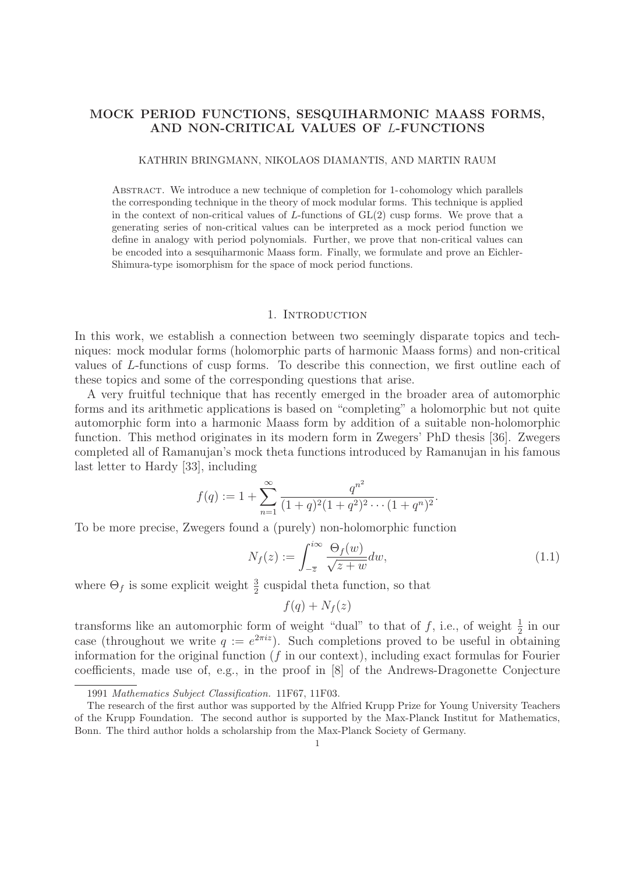# **MOCK PERIOD FUNCTIONS, SESQUIHARMONIC MAASS FORMS, AND NON-CRITICAL VALUES OF** L**-FUNCTIONS**

#### KATHRIN BRINGMANN, NIKOLAOS DIAMANTIS, AND MARTIN RAUM

Abstract. We introduce a new technique of completion for 1-cohomology which parallels the corresponding technique in the theory of mock modular forms. This technique is applied in the context of non-critical values of  $L$ -functions of  $GL(2)$  cusp forms. We prove that a generating series of non-critical values can be interpreted as a mock period function we define in analogy with period polynomials. Further, we prove that non-critical values can be encoded into a sesquiharmonic Maass form. Finally, we formulate and prove an Eichler-Shimura-type isomorphism for the space of mock period functions.

### 1. INTRODUCTION

In this work, we establish a connection between two seemingly disparate topics and techniques: mock modular forms (holomorphic parts of harmonic Maass forms) and non-critical values of L-functions of cusp forms. To describe this connection, we first outline each of these topics and some of the corresponding questions that arise.

A very fruitful technique that has recently emerged in the broader area of automorphic forms and its arithmetic applications is based on "completing" a holomorphic but not quite automorphic form into a harmonic Maass form by addition of a suitable non-holomorphic function. This method originates in its modern form in Zwegers' PhD thesis [36]. Zwegers completed all of Ramanujan's mock theta functions introduced by Ramanujan in his famous last letter to Hardy [33], including

$$
f(q) := 1 + \sum_{n=1}^{\infty} \frac{q^{n^2}}{(1+q)^2(1+q^2)^2 \cdots (1+q^n)^2}.
$$

To be more precise, Zwegers found a (purely) non-holomorphic function

$$
N_f(z) := \int_{-\overline{z}}^{i\infty} \frac{\Theta_f(w)}{\sqrt{z+w}} dw,
$$
\n(1.1)

where  $\Theta_f$  is some explicit weight  $\frac{3}{2}$  cuspidal theta function, so that

$$
f(q) + N_f(z)
$$

transforms like an automorphic form of weight "dual" to that of f, i.e., of weight  $\frac{1}{2}$  in our case (throughout we write  $a := e^{2\pi i z}$ ). Such completions proved to be useful in obtaining case (throughout we write  $q := e^{2\pi i z}$ ). Such completions proved to be useful in obtaining information for the original function  $(f$  in our context), including exact formulas for Fourier coefficients, made use of, e.g., in the proof in [8] of the Andrews-Dragonette Conjecture

<sup>1991</sup> Mathematics Subject Classification. 11F67, 11F03.

The research of the first author was supported by the Alfried Krupp Prize for Young University Teachers of the Krupp Foundation. The second author is supported by the Max-Planck Institut for Mathematics, Bonn. The third author holds a scholarship from the Max-Planck Society of Germany.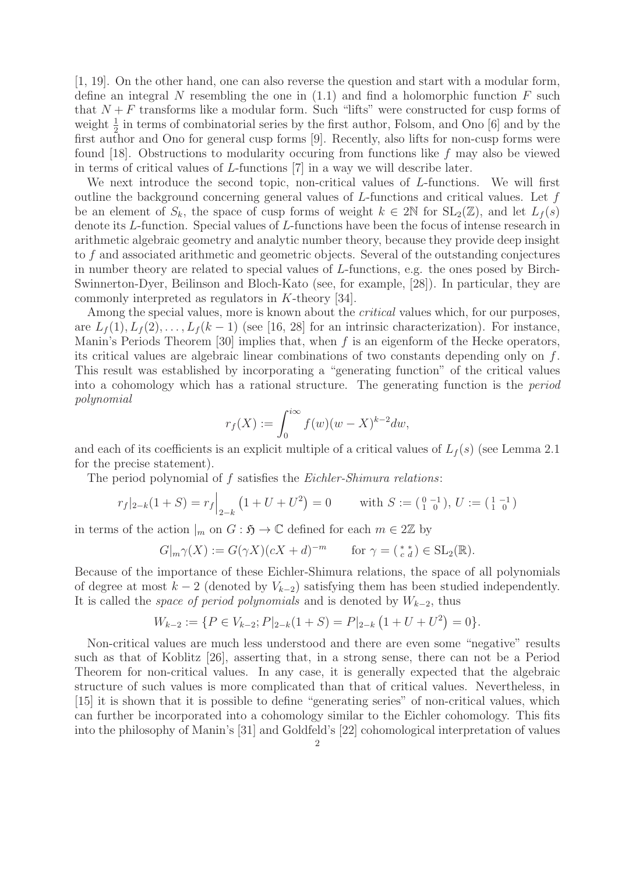[1, 19]. On the other hand, one can also reverse the question and start with a modular form, define an integral N resembling the one in  $(1.1)$  and find a holomorphic function F such that  $N + F$  transforms like a modular form. Such "lifts" were constructed for cusp forms of weight  $\frac{1}{2}$  in terms of combinatorial series by the first author, Folsom, and Ono [6] and by the first author and Ono for general cusp forms [9]. Recently, also lifts for non-cusp forms were first author and Ono for general cusp forms [9]. Recently, also lifts for non-cusp forms were found [18]. Obstructions to modularity occuring from functions like f may also be viewed in terms of critical values of L-functions [7] in a way we will describe later.

We next introduce the second topic, non-critical values of L-functions. We will first outline the background concerning general values of  $L$ -functions and critical values. Let  $f$ be an element of  $S_k$ , the space of cusp forms of weight  $k \in 2\mathbb{N}$  for  $SL_2(\mathbb{Z})$ , and let  $L_f(s)$ denote its L-function. Special values of L-functions have been the focus of intense research in arithmetic algebraic geometry and analytic number theory, because they provide deep insight to f and associated arithmetic and geometric objects. Several of the outstanding conjectures in number theory are related to special values of L-functions, e.g. the ones posed by Birch-Swinnerton-Dyer, Beilinson and Bloch-Kato (see, for example, [28]). In particular, they are commonly interpreted as regulators in K-theory [34].

Among the special values, more is known about the *critical* values which, for our purposes, are  $L_f(1), L_f(2), \ldots, L_f(k-1)$  (see [16, 28] for an intrinsic characterization). For instance, Manin's Periods Theorem [30] implies that, when  $f$  is an eigenform of the Hecke operators, its critical values are algebraic linear combinations of two constants depending only on f. This result was established by incorporating a "generating function" of the critical values into a cohomology which has a rational structure. The generating function is the period polynomial

$$
r_f(X) := \int_0^{i\infty} f(w)(w - X)^{k-2} dw,
$$

and each of its coefficients is an explicit multiple of a critical values of  $L_f(s)$  (see Lemma 2.1) for the precise statement).

The period polynomial of  $f$  satisfies the *Eichler-Shimura relations*:

$$
r_f|_{2-k}(1+S) = r_f|_{2-k}(1+U+U^2) = 0
$$
 with  $S := \begin{pmatrix} 0 & -1 \\ 1 & 0 \end{pmatrix}$ ,  $U := \begin{pmatrix} 1 & -1 \\ 1 & 0 \end{pmatrix}$ 

in terms of the action  $\vert_m$  on  $G : \mathfrak{H} \to \mathbb{C}$  defined for each  $m \in 2\mathbb{Z}$  by

$$
G|_{m}\gamma(X) := G(\gamma X)(cX + d)^{-m} \qquad \text{for } \gamma = \left(\begin{array}{c} * \\ c \end{array}d\right) \in \text{SL}_2(\mathbb{R}).
$$

Because of the importance of these Eichler-Shimura relations, the space of all polynomials of degree at most  $k-2$  (denoted by  $V_{k-2}$ ) satisfying them has been studied independently. It is called the *space of period polynomials* and is denoted by  $W_{k-2}$ , thus

$$
W_{k-2} := \{ P \in V_{k-2}; P|_{2-k}(1+S) = P|_{2-k}(1+U+U^2) = 0 \}.
$$

Non-critical values are much less understood and there are even some "negative" results such as that of Koblitz [26], asserting that, in a strong sense, there can not be a Period Theorem for non-critical values. In any case, it is generally expected that the algebraic structure of such values is more complicated than that of critical values. Nevertheless, in [15] it is shown that it is possible to define "generating series" of non-critical values, which can further be incorporated into a cohomology similar to the Eichler cohomology. This fits into the philosophy of Manin's [31] and Goldfeld's [22] cohomological interpretation of values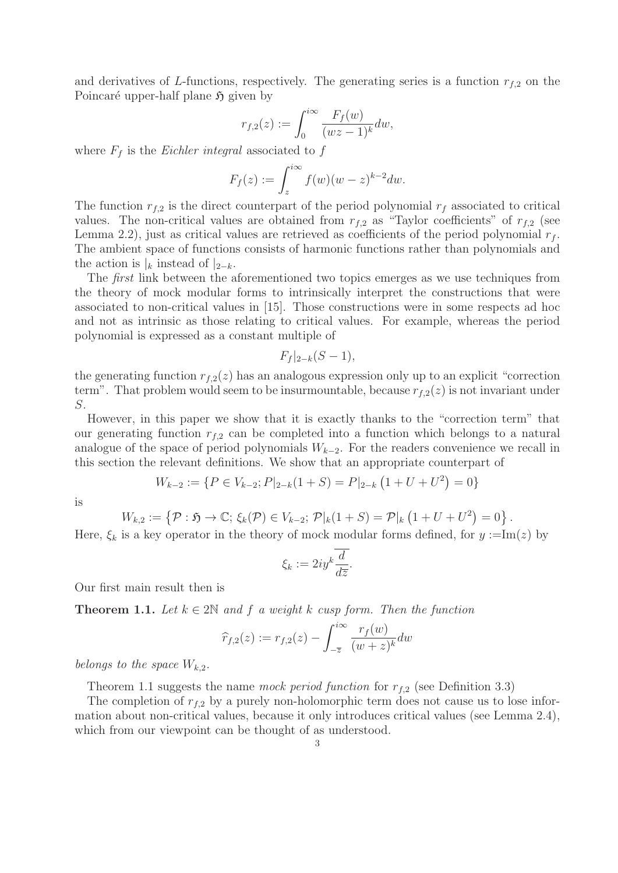and derivatives of L-functions, respectively. The generating series is a function  $r_{f,2}$  on the Poincaré upper-half plane  $\mathfrak{H}$  given by

$$
r_{f,2}(z) := \int_0^{i\infty} \frac{F_f(w)}{(wz-1)^k} dw,
$$

where  $F_f$  is the *Eichler integral* associated to f

$$
F_f(z) := \int_z^{i\infty} f(w)(w-z)^{k-2} dw.
$$

The function  $r_{f,2}$  is the direct counterpart of the period polynomial  $r_f$  associated to critical values. The non-critical values are obtained from  $r_{f,2}$  as "Taylor coefficients" of  $r_{f,2}$  (see Lemma 2.2), just as critical values are retrieved as coefficients of the period polynomial  $r_f$ . The ambient space of functions consists of harmonic functions rather than polynomials and the action is  $|k|$  instead of  $|2-k|$ .

The *first* link between the aforementioned two topics emerges as we use techniques from the theory of mock modular forms to intrinsically interpret the constructions that were associated to non-critical values in [15]. Those constructions were in some respects ad hoc and not as intrinsic as those relating to critical values. For example, whereas the period polynomial is expressed as a constant multiple of

$$
F_f|_{2-k}(S-1),
$$

the generating function  $r_{f,2}(z)$  has an analogous expression only up to an explicit "correction" term". That problem would seem to be insurmountable, because  $r_{f,2}(z)$  is not invariant under S.

However, in this paper we show that it is exactly thanks to the "correction term" that our generating function  $r_{f,2}$  can be completed into a function which belongs to a natural analogue of the space of period polynomials  $W_{k-2}$ . For the readers convenience we recall in this section the relevant definitions. We show that an appropriate counterpart of

$$
W_{k-2} := \{ P \in V_{k-2}; P|_{2-k}(1+S) = P|_{2-k} (1+U+U^2) = 0 \}
$$

is

$$
W_{k,2} := \left\{ \mathcal{P} : \mathfrak{H} \to \mathbb{C}; \, \xi_k(\mathcal{P}) \in V_{k-2}; \, \mathcal{P}|_k(1+S) = \mathcal{P}|_k(1+U+U^2) = 0 \right\}.
$$

Here,  $\xi_k$  is a key operator in the theory of mock modular forms defined, for  $y := Im(z)$  by

$$
\xi_k := 2iy^k \frac{\overline{d}}{d\overline{z}}.
$$

Our first main result then is

**Theorem 1.1.** Let  $k \in 2\mathbb{N}$  and f a weight k cusp form. Then the function

$$
\widehat{r}_{f,2}(z) := r_{f,2}(z) - \int_{-\overline{z}}^{i\infty} \frac{r_f(w)}{(w+z)^k} dw
$$

belongs to the space  $W_{k,2}$ .

Theorem 1.1 suggests the name mock period function for  $r_{f,2}$  (see Definition 3.3)

The completion of  $r_{f,2}$  by a purely non-holomorphic term does not cause us to lose information about non-critical values, because it only introduces critical values (see Lemma 2.4), which from our viewpoint can be thought of as understood.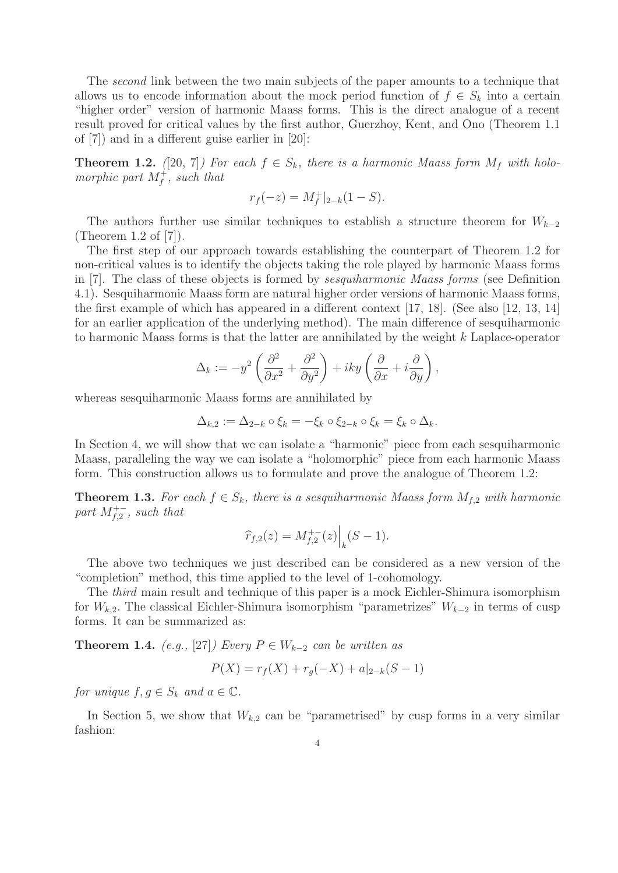The second link between the two main subjects of the paper amounts to a technique that allows us to encode information about the mock period function of  $f \in S_k$  into a certain "higher order" version of harmonic Maass forms. This is the direct analogue of a recent result proved for critical values by the first author, Guerzhoy, Kent, and Ono (Theorem 1.1 of [7]) and in a different guise earlier in [20]:

**Theorem 1.2.** ([20, 7]) For each  $f \in S_k$ , there is a harmonic Maass form  $M_f$  with holomorphic part  $M_f^+$ , such that

$$
r_f(-z) = M_f^+|_{2-k}(1-S).
$$

The authors further use similar techniques to establish a structure theorem for  $W_{k-2}$ (Theorem 1.2 of [7]).

The first step of our approach towards establishing the counterpart of Theorem 1.2 for non-critical values is to identify the objects taking the role played by harmonic Maass forms in [7]. The class of these objects is formed by sesquiharmonic Maass forms (see Definition 4.1). Sesquiharmonic Maass form are natural higher order versions of harmonic Maass forms, the first example of which has appeared in a different context [17, 18]. (See also [12, 13, 14] for an earlier application of the underlying method). The main difference of sesquiharmonic to harmonic Maass forms is that the latter are annihilated by the weight k Laplace-operator

$$
\Delta_k := -y^2 \left( \frac{\partial^2}{\partial x^2} + \frac{\partial^2}{\partial y^2} \right) + iky \left( \frac{\partial}{\partial x} + i \frac{\partial}{\partial y} \right),
$$

whereas sesquiharmonic Maass forms are annihilated by

$$
\Delta_{k,2} := \Delta_{2-k} \circ \xi_k = -\xi_k \circ \xi_{2-k} \circ \xi_k = \xi_k \circ \Delta_k.
$$

In Section 4, we will show that we can isolate a "harmonic" piece from each sesquiharmonic Maass, paralleling the way we can isolate a "holomorphic" piece from each harmonic Maass form. This construction allows us to formulate and prove the analogue of Theorem 1.2:

**Theorem 1.3.** For each  $f \in S_k$ , there is a sesquiharmonic Maass form  $M_{f,2}$  with harmonic part  $M_{f,2}^{+-}$ , such that

$$
\widehat{r}_{f,2}(z) = M_{f,2}^{+-}(z) \Big|_{k} (S-1).
$$

The above two techniques we just described can be considered as a new version of the "completion" method, this time applied to the level of 1-cohomology.

The *third* main result and technique of this paper is a mock Eichler-Shimura isomorphism for  $W_{k,2}$ . The classical Eichler-Shimura isomorphism "parametrizes"  $W_{k-2}$  in terms of cusp forms. It can be summarized as:

**Theorem 1.4.** (e.g., [27]) Every  $P \in W_{k-2}$  can be written as

$$
P(X) = r_f(X) + r_g(-X) + a|_{2-k}(S-1)
$$

for unique  $f, g \in S_k$  and  $a \in \mathbb{C}$ .

In Section 5, we show that  $W_{k,2}$  can be "parametrised" by cusp forms in a very similar fashion: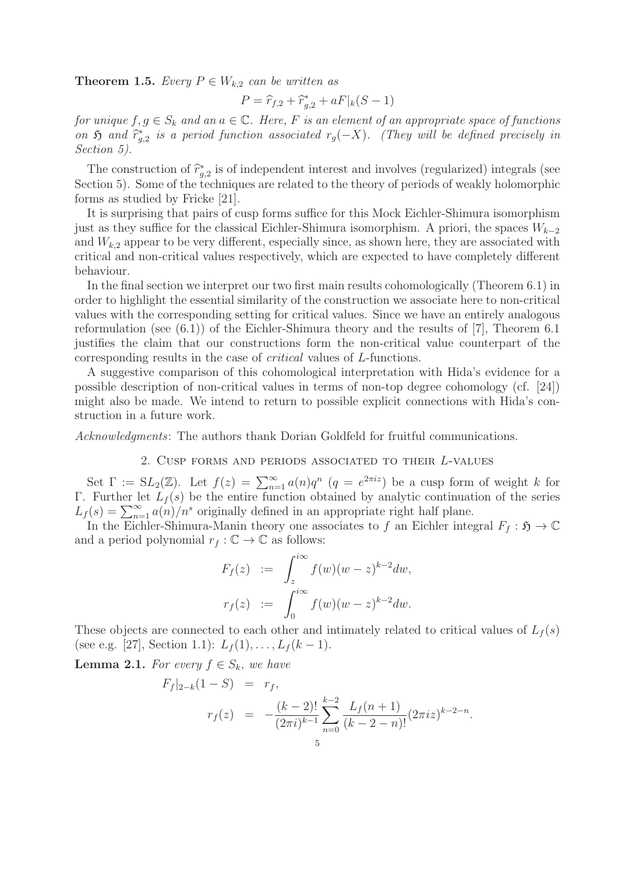**Theorem 1.5.** Every  $P \in W_{k,2}$  can be written as

$$
P = \hat{r}_{f,2} + \hat{r}_{g,2}^* + aF|_{k}(S-1)
$$

for unique  $f, g \in S_k$  and an  $a \in \mathbb{C}$ . Here, F is an element of an appropriate space of functions on  $\mathfrak{H}$  and  $\widehat{r}_{g,2}^*$  is a period function associated  $r_g(-X)$ . (They will be defined precisely in<br>Section 5) Section 5).

The construction of  $\hat{r}_{g,2}^*$  is of independent interest and involves (regularized) integrals (see<br>grin 5). Some of the techniques are related to the theory of periods of weakly belomer<br>phier Section 5). Some of the techniques are related to the theory of periods of weakly holomorphic forms as studied by Fricke [21].

It is surprising that pairs of cusp forms suffice for this Mock Eichler-Shimura isomorphism just as they suffice for the classical Eichler-Shimura isomorphism. A priori, the spaces  $W_{k-2}$ and  $W_{k,2}$  appear to be very different, especially since, as shown here, they are associated with critical and non-critical values respectively, which are expected to have completely different behaviour.

In the final section we interpret our two first main results cohomologically (Theorem 6.1) in order to highlight the essential similarity of the construction we associate here to non-critical values with the corresponding setting for critical values. Since we have an entirely analogous reformulation (see (6.1)) of the Eichler-Shimura theory and the results of [7], Theorem 6.1 justifies the claim that our constructions form the non-critical value counterpart of the corresponding results in the case of critical values of L-functions.

A suggestive comparison of this cohomological interpretation with Hida's evidence for a possible description of non-critical values in terms of non-top degree cohomology (cf. [24]) might also be made. We intend to return to possible explicit connections with Hida's construction in a future work.

Acknowledgments: The authors thank Dorian Goldfeld for fruitful communications.

# 2. Cusp forms and periods associated to their L-values

Set  $\Gamma := SL_2(\mathbb{Z})$ . Let  $f(z) = \sum_{n=1}^{\infty} a(n)q^n$   $(q = e^{2\pi i z})$  be a cusp form of weight k for<br>Further let  $L_e(s)$  be the entire function obtained by analytic continuation of the series Γ. Further let  $L_f(s)$  be the entire function obtained by analytic continuation of the series  $L_f(s) = \sum_{n=1}^{\infty} a(n)/n^s$  originally defined in an appropriate right half plane.<br>In the Eichler-Shimura-Manin theory one associates to f an Eichler inte

In the Eichler-Shimura-Manin theory one associates to f an Eichler integral  $F_f : \mathfrak{H} \to \mathbb{C}$ and a period polynomial  $r_f : \mathbb{C} \to \mathbb{C}$  as follows:

$$
F_f(z) := \int_z^{i\infty} f(w)(w - z)^{k-2} dw,
$$
  

$$
r_f(z) := \int_0^{i\infty} f(w)(w - z)^{k-2} dw.
$$

These objects are connected to each other and intimately related to critical values of  $L_f(s)$ (see e.g. [27], Section 1.1):  $L_f(1), \ldots, L_f(k-1)$ .

**Lemma 2.1.** For every  $f \in S_k$ , we have

$$
F_f|_{2-k}(1-S) = r_f,
$$
  
\n
$$
r_f(z) = -\frac{(k-2)!}{(2\pi i)^{k-1}} \sum_{n=0}^{k-2} \frac{L_f(n+1)}{(k-2-n)!} (2\pi i z)^{k-2-n}.
$$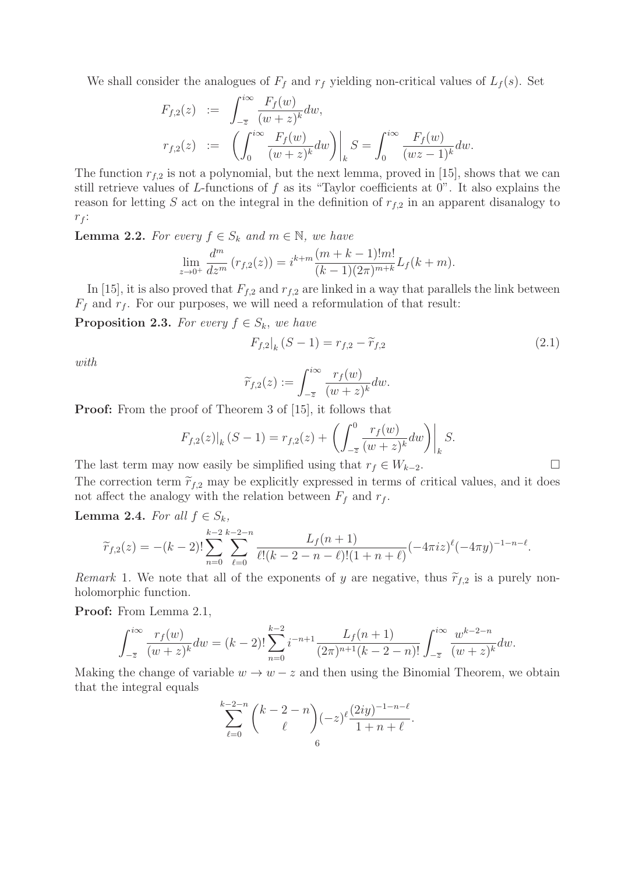We shall consider the analogues of  $F_f$  and  $r_f$  yielding non-critical values of  $L_f(s)$ . Set

$$
F_{f,2}(z) := \int_{-\overline{z}}^{i\infty} \frac{F_f(w)}{(w+z)^k} dw,
$$
  
\n
$$
r_{f,2}(z) := \left( \int_0^{i\infty} \frac{F_f(w)}{(w+z)^k} dw \right) \Big|_k S = \int_0^{i\infty} \frac{F_f(w)}{(wz-1)^k} dw.
$$

The function  $r_{f,2}$  is not a polynomial, but the next lemma, proved in [15], shows that we can<br>still patrices where of L functions of f as its "Taylor so fisients at 0". It also supplies the still retrieve values of L-functions of f as its "Taylor coefficients at 0". It also explains the reason for letting S act on the integral in the definition of  $r_{f,2}$  in an apparent disanalogy to  $r_f$ :

**Lemma 2.2.** For every  $f \in S_k$  and  $m \in \mathbb{N}$ , we have

$$
\lim_{z \to 0^+} \frac{d^m}{dz^m} \left( r_{f,2}(z) \right) = i^{k+m} \frac{(m+k-1)!m!}{(k-1)(2\pi)^{m+k}} L_f(k+m).
$$

In [15], it is also proved that  $F_{f,2}$  and  $r_{f,2}$  are linked in a way that parallels the link between  $F_f$  and  $r_f$ . For our purposes, we will need a reformulation of that result:

**Proposition 2.3.** For every  $f \in S_k$ , we have

$$
F_{f,2}|_{k}(S-1) = r_{f,2} - \widetilde{r}_{f,2}
$$
\n(2.1)

with

$$
\widetilde{r}_{f,2}(z) := \int_{-\overline{z}}^{i\infty} \frac{r_f(w)}{(w+z)^k} dw.
$$

**Proof:** From the proof of Theorem 3 of [15], it follows that

$$
F_{f,2}(z)|_k(S-1) = r_{f,2}(z) + \left( \int_{-\overline{z}}^0 \frac{r_f(w)}{(w+z)^k} dw \right) \Big|_k S.
$$

The last term may now easily be simplified using that  $r_f \in W_{k-2}$ .  $\Box$ The correction term  $\tilde{r}_{f,2}$  may be explicitly expressed in terms of critical values, and it does not affect the analogy with the relation between  $F_f$  and  $r_f$ .

**Lemma 2.4.** For all  $f \in S_k$ ,

$$
\widetilde{r}_{f,2}(z) = -(k-2)!\sum_{n=0}^{k-2}\sum_{\ell=0}^{k-2-n}\frac{L_f(n+1)}{\ell!(k-2-n-\ell)!(1+n+\ell)}(-4\pi iz)^{\ell}(-4\pi y)^{-1-n-\ell}.
$$

Remark 1. We note that all of the exponents of y are negative, thus  $\tilde{r}_{f,2}$  is a purely nonholomorphic function.

**Proof:** From Lemma 2.1,

$$
\int_{-\overline{z}}^{i\infty} \frac{r_f(w)}{(w+z)^k} dw = (k-2)! \sum_{n=0}^{k-2} i^{-n+1} \frac{L_f(n+1)}{(2\pi)^{n+1}(k-2-n)!} \int_{-\overline{z}}^{i\infty} \frac{w^{k-2-n}}{(w+z)^k} dw.
$$

Making the change of variable  $w \to w - z$  and then using the Binomial Theorem, we obtain that the integral equals

$$
\sum_{\ell=0}^{k-2-n} {k-2-n \choose \ell} (-z)^{\ell} \frac{(2iy)^{-1-n-\ell}}{1+n+\ell}.
$$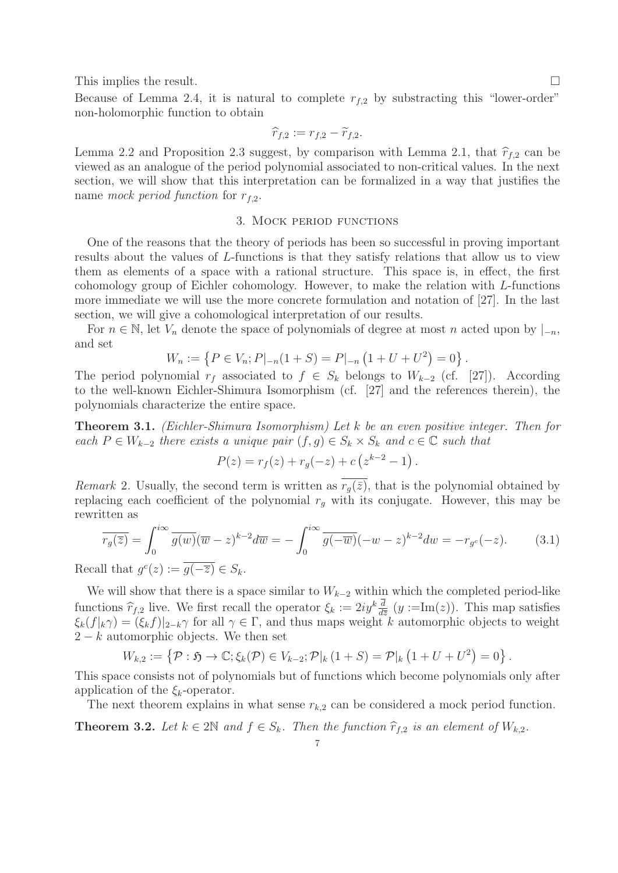This implies the result.  $\Box$ 

Because of Lemma 2.4, it is natural to complete  $r_{f,2}$  by substracting this "lower-order" non-holomorphic function to obtain

$$
\widehat{r}_{f,2} := r_{f,2} - \widetilde{r}_{f,2}.
$$

Lemma 2.2 and Proposition 2.3 suggest, by comparison with Lemma 2.1, that  $\hat{r}_{f,2}$  can be viewed as an analogue of the period polynomial associated to non-critical values. In the next section, we will show that this interpretation can be formalized in a way that justifies the name mock period function for  $r_{f,2}$ .

## 3. Mock period functions

One of the reasons that the theory of periods has been so successful in proving important results about the values of L-functions is that they satisfy relations that allow us to view them as elements of a space with a rational structure. This space is, in effect, the first cohomology group of Eichler cohomology. However, to make the relation with L-functions more immediate we will use the more concrete formulation and notation of [27]. In the last section, we will give a cohomological interpretation of our results.

For  $n \in \mathbb{N}$ , let  $V_n$  denote the space of polynomials of degree at most n acted upon by  $|_{-n}$ , and set

$$
W_n := \left\{ P \in V_n; P|_{-n}(1+S) = P|_{-n}(1+U+U^2) = 0 \right\}.
$$

The period polynomial  $r_f$  associated to  $f \in S_k$  belongs to  $W_{k-2}$  (cf. [27]). According to the well-known Eichler-Shimura Isomorphism (cf. [27] and the references therein), the polynomials characterize the entire space.

**Theorem 3.1.** (Eichler-Shimura Isomorphism) Let k be an even positive integer. Then for each  $P \in W_{k-2}$  there exists a unique pair  $(f,g) \in S_k \times S_k$  and  $c \in \mathbb{C}$  such that

$$
P(z) = r_f(z) + r_g(-z) + c (z^{k-2} - 1).
$$

Remark 2. Usually, the second term is written as  $r_q(\bar{z})$ , that is the polynomial obtained by replacing each coefficient of the polynomial  $r_q$  with its conjugate. However, this may be rewritten as

$$
\overline{r_g(\overline{z})} = \int_0^{i\infty} \overline{g(w)} (\overline{w} - z)^{k-2} d\overline{w} = -\int_0^{i\infty} \overline{g(-\overline{w})} (-w - z)^{k-2} dw = -r_{g^c}(-z). \tag{3.1}
$$

Recall that  $g^c(z) := \overline{g(-\overline{z})} \in S_k$ .

We will show that there is a space similar to  $W_{k-2}$  within which the completed period-like functions  $\hat{r}_{f,2}$  live. We first recall the operator  $\xi_k := 2iy^k \frac{d}{dz}(y := \text{Im}(z))$ . This map satisfies  $\xi_k(f|_k\gamma)=(\xi_kf)|_{2-k}\gamma$  for all  $\gamma\in\Gamma$ , and thus maps weight k automorphic objects to weight  $k$  automorphic objects to weight  $2 - k$  automorphic objects. We then set

$$
W_{k,2} := \{ \mathcal{P} : \mathfrak{H} \to \mathbb{C}; \xi_k(\mathcal{P}) \in V_{k-2}; \mathcal{P}|_k(1+S) = \mathcal{P}|_k(1+U+U^2) = 0 \}.
$$

This space consists not of polynomials but of functions which become polynomials only after application of the  $\xi_k$ -operator.

The next theorem explains in what sense  $r_{k,2}$  can be considered a mock period function.

**Theorem 3.2.** Let  $k \in 2\mathbb{N}$  and  $f \in S_k$ . Then the function  $\hat{r}_{f,2}$  is an element of  $W_{k,2}$ .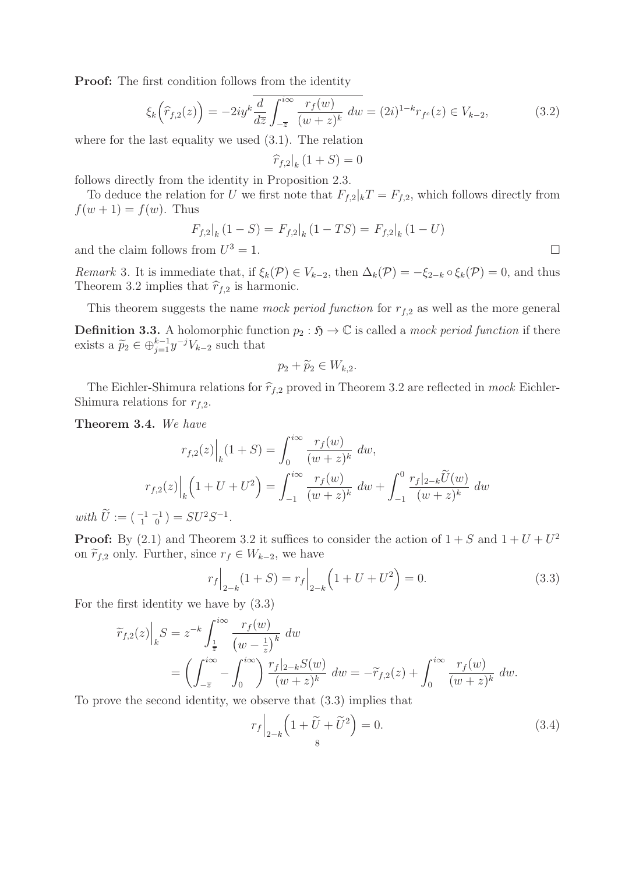**Proof:** The first condition follows from the identity

$$
\xi_k\left(\widehat{r}_{f,2}(z)\right) = -2iy^k \frac{d}{dz} \int_{-\overline{z}}^{i\infty} \frac{r_f(w)}{(w+z)^k} \ dw = (2i)^{1-k} r_{f^c}(z) \in V_{k-2},\tag{3.2}
$$

where for the last equality we used (3.1). The relation

 $\left.\widehat{r}_{f,2}\right|_{k}(1+S)=0$ 

follows directly from the identity in Proposition 2.3.

To deduce the relation for U we first note that  $F_{f,2}|_kT = F_{f,2}$ , which follows directly from  $f(w + 1) = f(w)$ . Thus

$$
F_{f,2}|_{k}(1-S) = F_{f,2}|_{k}(1-TS) = F_{f,2}|_{k}(1-U)
$$

and the claim follows from  $U^3 = 1$ .

Remark 3. It is immediate that, if  $\xi_k(\mathcal{P}) \in V_{k-2}$ , then  $\Delta_k(\mathcal{P}) = -\xi_{2-k} \circ \xi_k(\mathcal{P}) = 0$ , and thus Theorem 3.2 implies that  $\hat{r}_{f,2}$  is harmonic.

This theorem suggests the name mock period function for  $r_{f,2}$  as well as the more general **Definition 3.3.** A holomorphic function  $p_2 : \mathfrak{H} \to \mathbb{C}$  is called a mock period function if there exists a  $\widetilde{p}_2 \in \bigoplus_{j=1}^{k-1} y^{-j} V_{k-2}$  such that

$$
p_2 + \widetilde{p}_2 \in W_{k,2}.
$$

The Eichler-Shimura relations for  $\hat{r}_{f,2}$  proved in Theorem 3.2 are reflected in mock Eichler-Shimura relations for  $r_{f,2}$ .

**Theorem 3.4.** We have

$$
r_{f,2}(z)\Big|_{k}(1+S) = \int_{0}^{i\infty} \frac{r_{f}(w)}{(w+z)^{k}} dw,
$$

$$
r_{f,2}(z)\Big|_{k}(1+U+U^{2}) = \int_{-1}^{i\infty} \frac{r_{f}(w)}{(w+z)^{k}} dw + \int_{-1}^{0} \frac{r_{f}|_{2-k}\widetilde{U}(w)}{(w+z)^{k}} dw
$$

with  $U := \begin{pmatrix} -1 & -1 \\ 1 & 0 \end{pmatrix} = SU^2S^{-1}$ .

**Proof:** By (2.1) and Theorem 3.2 it suffices to consider the action of  $1 + S$  and  $1 + U + U^2$ on  $\widetilde{r}_{f,2}$  only. Further, since  $r_f \in W_{k-2}$ , we have

$$
r_f \Big|_{2-k} (1+S) = r_f \Big|_{2-k} \left(1 + U + U^2\right) = 0. \tag{3.3}
$$

For the first identity we have by (3.3)

$$
\widetilde{r}_{f,2}(z)\Big|_{k}S = z^{-k} \int_{\frac{1}{\overline{z}}}^{i\infty} \frac{r_{f}(w)}{(w - \frac{1}{z})^{k}} dw \n= \left(\int_{-\overline{z}}^{i\infty} - \int_{0}^{i\infty}\right) \frac{r_{f}|_{2-k}S(w)}{(w + z)^{k}} dw = -\widetilde{r}_{f,2}(z) + \int_{0}^{i\infty} \frac{r_{f}(w)}{(w + z)^{k}} dw.
$$

To prove the second identity, we observe that (3.3) implies that

$$
r_f \Big|_{2-k} \left( 1 + \tilde{U} + \tilde{U}^2 \right) = 0. \tag{3.4}
$$

 $\Box$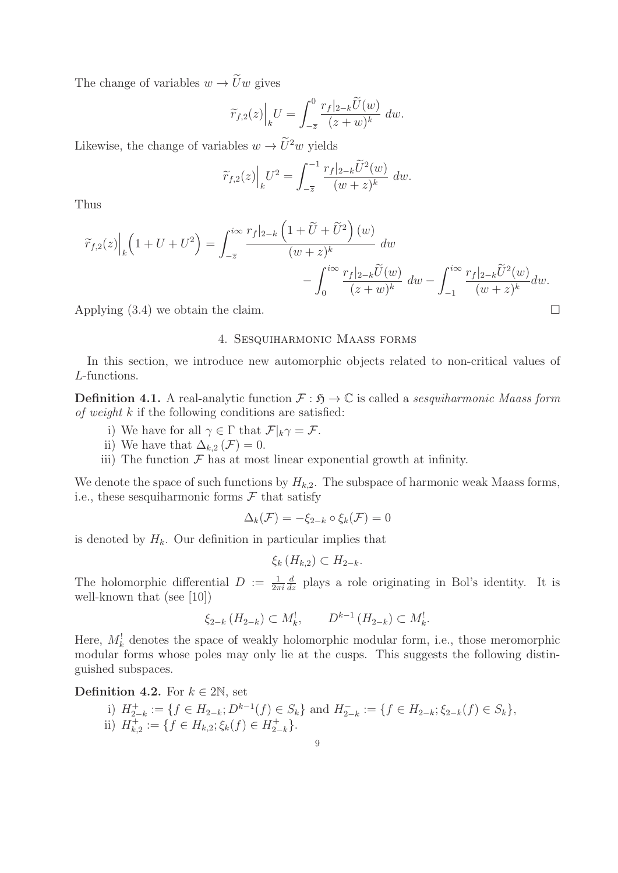The change of variables  $w \to \tilde{U}w$  gives

$$
\widetilde{r}_{f,2}(z)\Big|_{k}U=\int_{-\overline{z}}^{0}\frac{r_{f}|_{2-k}\widetilde{U}(w)}{(z+w)^{k}}dw.
$$

Likewise, the change of variables  $w \to \tilde{U}^2 w$  yields

$$
\widetilde{r}_{f,2}(z)\Big|_{k}U^2 = \int_{-\overline{z}}^{-1} \frac{r_f|_{2-k}\widetilde{U}^2(w)}{(w+z)^k} dw.
$$

Thus

$$
\widetilde{r}_{f,2}(z)\Big|_{k}\left(1+U+U^{2}\right) = \int_{-\overline{z}}^{i\infty} \frac{r_{f}|_{2-k}\left(1+\widetilde{U}+\widetilde{U}^{2}\right)(w)}{(w+z)^{k}} dw - \int_{0}^{i\infty} \frac{r_{f}|_{2-k}\widetilde{U}(w)}{(z+w)^{k}} dw - \int_{-1}^{i\infty} \frac{r_{f}|_{2-k}\widetilde{U}^{2}(w)}{(w+z)^{k}} dw.
$$

Applying  $(3.4)$  we obtain the claim.

## 4. Sesquiharmonic Maass forms

In this section, we introduce new automorphic objects related to non-critical values of L-functions.

**Definition 4.1.** A real-analytic function  $\mathcal{F} : \mathfrak{H} \to \mathbb{C}$  is called a sesquiharmonic Maass form of weight  $k$  if the following conditions are satisfied:

- i) We have for all  $\gamma \in \Gamma$  that  $\mathcal{F}|_k \gamma = \mathcal{F}$ .
- ii) We have that  $\Delta_{k,2}(\mathcal{F})=0$ .
- iii) The function  $\mathcal F$  has at most linear exponential growth at infinity.

We denote the space of such functions by  $H_{k,2}$ . The subspace of harmonic weak Maass forms, i.e., these sesquiharmonic forms  $\mathcal F$  that satisfy

$$
\Delta_k(\mathcal{F}) = -\xi_{2-k} \circ \xi_k(\mathcal{F}) = 0
$$

is denoted by  $H_k$ . Our definition in particular implies that

$$
\xi_k\left(H_{k,2}\right)\subset H_{2-k}.
$$

The holomorphic differential  $D := \frac{1}{2\pi i}$ <br>well-known that (see [10])  $\frac{d}{dz}$  plays a role originating in Bol's identity. It is well-known that (see [10])

$$
\xi_{2-k}(H_{2-k}) \subset M_k^!, \qquad D^{k-1}(H_{2-k}) \subset M_k^!.
$$

Here,  $M_k^{\dagger}$  denotes the space of weakly holomorphic modular form, i.e., those meromorphic modular forms whose poles may only lie at the cusps. This suggests the following distinguished subspaces.

**Definition 4.2.** For  $k \in 2\mathbb{N}$ , set

i)  $H_{2-k}^+ := \{f \in H_{2-k}; D^{k-1}(f) \in S_k\}$  and  $H_{2-k}^- := \{f \in H_{2-k}; \xi_{2-k}(f) \in S_k\}$ ,<br>ii)  $H_{k,2}^+ := \{f \in H_{k,2}; \xi_k(f) \in H_{2-k}^+\}.$ 

 $\Box$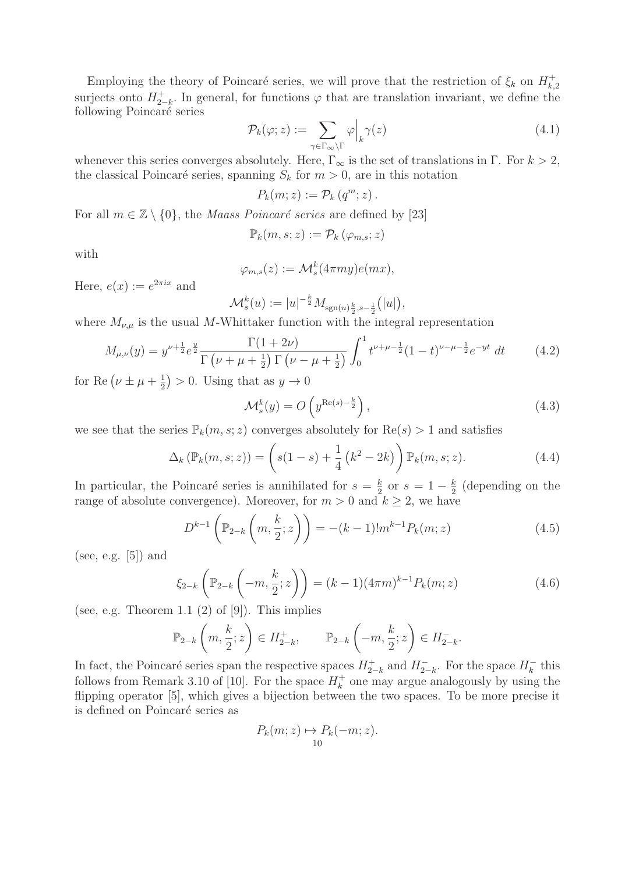Employing the theory of Poincaré series, we will prove that the restriction of  $\xi_k$  on  $H_{k,2}^+$ <br>misste ante  $H^+$ . In general for functions is that are translation inversiont, we define the surjects onto  $H_{2-k}^+$ . In general, for functions  $\varphi$  that are translation invariant, we define the following Poincaré series following Poincaré series

$$
\mathcal{P}_k(\varphi; z) := \sum_{\gamma \in \Gamma_{\infty} \backslash \Gamma} \varphi \Big|_k \gamma(z) \tag{4.1}
$$

whenever this series converges absolutely. Here,  $\Gamma_{\infty}$  is the set of translations in  $\Gamma$ . For  $k > 2$ , the classical Poincaré series, spanning  $S_k$  for  $m > 0$ , are in this notation

$$
P_k(m; z) := \mathcal{P}_k(q^m; z).
$$

For all  $m \in \mathbb{Z} \setminus \{0\}$ , the *Maass Poincaré series* are defined by [23]

 $\mathbb{P}_k(m, s; z) := \mathcal{P}_k(\varphi_{m, s}; z)$ 

with

$$
\varphi_{m,s}(z) := \mathcal{M}_s^k(4\pi my)e(mx),
$$

Here,  $e(x) := e^{2\pi ix}$  and

$$
\mathcal{M}_s^k(u) := |u|^{-\frac{k}{2}} M_{\text{sgn}(u)\frac{k}{2}, s-\frac{1}{2}}(|u|),
$$

where  $M_{\nu,\mu}$  is the usual M-Whittaker function with the integral representation

$$
M_{\mu,\nu}(y) = y^{\nu + \frac{1}{2}} e^{\frac{y}{2}} \frac{\Gamma(1+2\nu)}{\Gamma(\nu + \mu + \frac{1}{2}) \Gamma(\nu - \mu + \frac{1}{2})} \int_0^1 t^{\nu + \mu - \frac{1}{2}} (1-t)^{\nu - \mu - \frac{1}{2}} e^{-yt} dt \qquad (4.2)
$$

for Re  $(\nu \pm \mu + \frac{1}{2}) > 0$ . Using that as  $y \to 0$ 

$$
\mathcal{M}_s^k(y) = O\left(y^{\text{Re}(s) - \frac{k}{2}}\right),\tag{4.3}
$$

we see that the series  $\mathbb{P}_k(m, s; z)$  converges absolutely for  $\text{Re}(s) > 1$  and satisfies

$$
\Delta_k(\mathbb{P}_k(m,s;z)) = \left(s(1-s) + \frac{1}{4}\left(k^2 - 2k\right)\right)\mathbb{P}_k(m,s;z).
$$
 (4.4)

In particular, the Poincaré series is annihilated for  $s = \frac{k}{2}$  or  $s = 1 - \frac{k}{2}$  (depending on the range of absolute convergence). Moreover, for  $m > 0$  and  $k > 2$  we have range of absolute convergence). Moreover, for  $m > 0$  and  $k \geq 2$ , we have

$$
D^{k-1}\left(\mathbb{P}_{2-k}\left(m,\frac{k}{2};z\right)\right) = -(k-1)!m^{k-1}P_k(m;z)
$$
\n(4.5)

(see, e.g.  $[5]$ ) and

$$
\xi_{2-k}\left(\mathbb{P}_{2-k}\left(-m,\frac{k}{2};z\right)\right) = (k-1)(4\pi m)^{k-1}P_k(m;z)
$$
\n(4.6)

(see, e.g. Theorem 1.1  $(2)$  of  $[9]$ ). This implies

$$
\mathbb{P}_{2-k}\left(m,\frac{k}{2};z\right)\in H_{2-k}^+,\qquad\mathbb{P}_{2-k}\left(-m,\frac{k}{2};z\right)\in H_{2-k}^-.
$$

In fact, the Poincaré series span the respective spaces  $H_{2-k}^{\pm}$  and  $H_{2-k}^{-}$ . For the space  $H_{k}^{-}$  this follows from Bomark 2.10 of [10]. For the space  $H_{k}^{+}$  and may arrune analogously by using the follows from Remark 3.10 of [10]. For the space  $H_k^+$  one may argue analogously by using the flipping operator [5], which gives a bijection between the two spaces. To be more precise it is defined on Poincaré series as

$$
P_k(m; z) \mapsto P_k(-m; z).
$$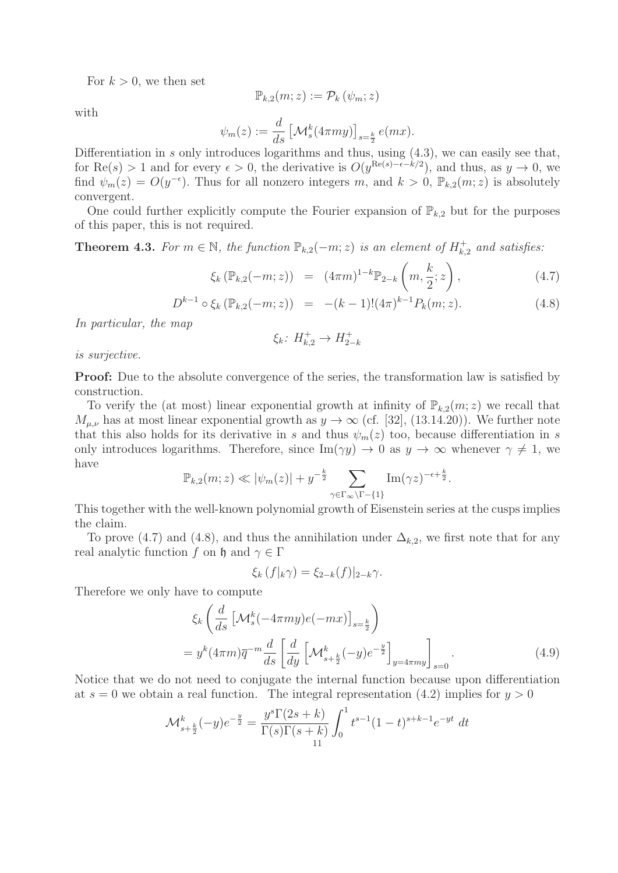For  $k > 0$ , we then set

$$
\mathbb{P}_{k,2}(m;z) := \mathcal{P}_k(\psi_m;z)
$$

with

$$
\psi_m(z) := \frac{d}{ds} \left[ \mathcal{M}_s^k(4\pi my) \right]_{s=\frac{k}{2}} e(mx).
$$

Differentiation in s only introduces logarithms and thus, using  $(4.3)$ , we can easily see that, for Re(s) > 1 and for every  $\epsilon > 0$ , the derivative is  $O(y^{\text{Re}(s)-\epsilon-k/2})$ , and thus, as  $y \to 0$ , we find  $\psi_m(z) = O(y^{-\epsilon})$ . Thus for all nonzero integers m, and  $k > 0$ ,  $\mathbb{P}_{k,2}(m; z)$  is absolutely convergent.

One could further explicitly compute the Fourier expansion of  $\mathbb{P}_{k,2}$  but for the purposes of this paper, this is not required.

**Theorem 4.3.** For  $m \in \mathbb{N}$ , the function  $\mathbb{P}_{k,2}(-m;z)$  is an element of  $H_{k,2}^+$  and satisfies:

$$
\xi_k(\mathbb{P}_{k,2}(-m;z)) = (4\pi m)^{1-k} \mathbb{P}_{2-k}\left(m, \frac{k}{2}; z\right), \qquad (4.7)
$$

$$
D^{k-1} \circ \xi_k \left( \mathbb{P}_{k,2}(-m;z) \right) = -(k-1)!(4\pi)^{k-1} P_k(m;z). \tag{4.8}
$$

In particular, the map

$$
\xi_k \colon H_{k,2}^+ \to H_{2-k}^+
$$

is surjective.

**Proof:** Due to the absolute convergence of the series, the transformation law is satisfied by construction.

To verify the (at most) linear exponential growth at infinity of  $\mathbb{P}_{k,2}(m;z)$  we recall that  $M_{\mu,\nu}$  has at most linear exponential growth as  $y \to \infty$  (cf. [32], (13.14.20)). We further note that this also holds for its derivative in s and thus  $\psi_m(z)$  too, because differentiation in s only introduces logarithms. Therefore, since  $\text{Im}(\gamma y) \to 0$  as  $y \to \infty$  whenever  $\gamma \neq 1$ , we have

$$
\mathbb{P}_{k,2}(m;z) \ll |\psi_m(z)| + y^{-\frac{k}{2}} \sum_{\gamma \in \Gamma_\infty \backslash \Gamma - \{1\}} \text{Im}(\gamma z)^{-\epsilon + \frac{k}{2}}.
$$

This together with the well-known polynomial growth of Eisenstein series at the cusps implies the claim.

To prove (4.7) and (4.8), and thus the annihilation under  $\Delta_{k,2}$ , we first note that for any real analytic function f on h and  $\gamma \in \Gamma$ 

$$
\xi_k(f|_k\gamma) = \xi_{2-k}(f)|_{2-k}\gamma.
$$

Therefore we only have to compute

$$
\xi_k \left( \frac{d}{ds} \left[ \mathcal{M}_s^k (-4\pi my)e(-mx) \right]_{s=\frac{k}{2}} \right)
$$
  
=  $y^k (4\pi m) \overline{q}^{-m} \frac{d}{ds} \left[ \frac{d}{dy} \left[ \mathcal{M}_{s+\frac{k}{2}}^k (-y)e^{-\frac{y}{2}} \right]_{y=4\pi my} \right]_{s=0}.$  (4.9)

Notice that we do not need to conjugate the internal function because upon differentiation at  $s = 0$  we obtain a real function. The integral representation (4.2) implies for  $y > 0$ 

$$
\mathcal{M}_{s+\frac{k}{2}}^k(-y)e^{-\frac{y}{2}} = \frac{y^s \Gamma(2s+k)}{\Gamma(s)\Gamma(s+k)} \int_0^1 t^{s-1} (1-t)^{s+k-1} e^{-yt} dt
$$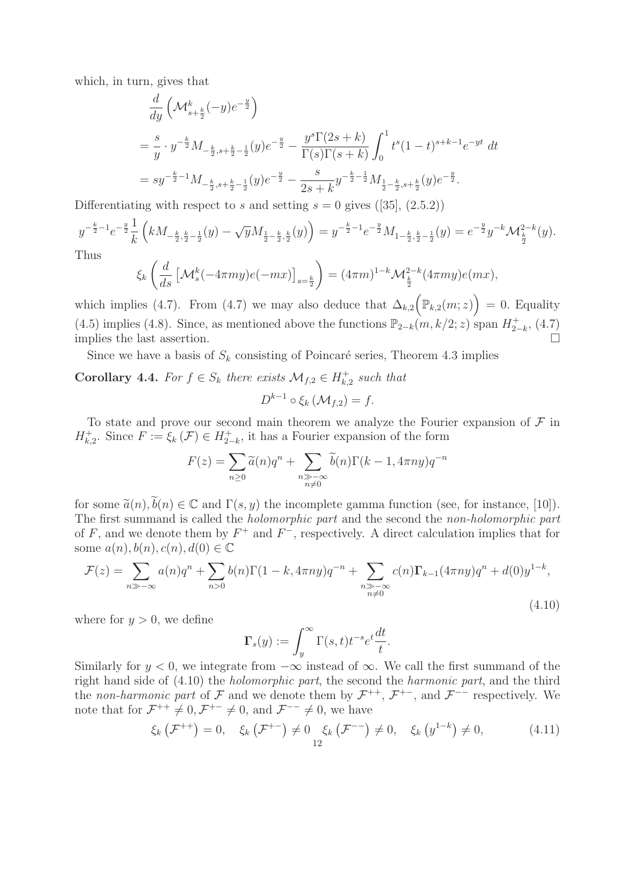which, in turn, gives that

$$
\frac{d}{dy} \left( \mathcal{M}_{s+\frac{k}{2}}^k (-y) e^{-\frac{y}{2}} \right)
$$
\n
$$
= \frac{s}{y} \cdot y^{-\frac{k}{2}} M_{-\frac{k}{2}, s+\frac{k}{2}-\frac{1}{2}}(y) e^{-\frac{y}{2}} - \frac{y^s \Gamma(2s+k)}{\Gamma(s) \Gamma(s+k)} \int_0^1 t^s (1-t)^{s+k-1} e^{-yt} dt
$$
\n
$$
= sy^{-\frac{k}{2}-1} M_{-\frac{k}{2}, s+\frac{k}{2}-\frac{1}{2}}(y) e^{-\frac{y}{2}} - \frac{s}{2s+k} y^{-\frac{k}{2}-\frac{1}{2}} M_{\frac{1}{2}-\frac{k}{2}, s+\frac{k}{2}}(y) e^{-\frac{y}{2}}.
$$

Differentiating with respect to s and setting  $s = 0$  gives ([35], (2.5.2))

$$
y^{-\frac{k}{2}-1}e^{-\frac{y}{2}}\frac{1}{k}\left(kM_{-\frac{k}{2},\frac{k}{2}-\frac{1}{2}}(y)-\sqrt{y}M_{\frac{1}{2}-\frac{k}{2},\frac{k}{2}}(y)\right)=y^{-\frac{k}{2}-1}e^{-\frac{y}{2}}M_{1-\frac{k}{2},\frac{k}{2}-\frac{1}{2}}(y)=e^{-\frac{y}{2}}y^{-k}\mathcal{M}_{\frac{k}{2}}^{2-k}(y).
$$
  
Thus

$$
\xi_k\left(\frac{d}{ds}\left[\mathcal{M}_s^k(-4\pi my)e(-mx)\right]_{s=\frac{k}{2}}\right) = (4\pi m)^{1-k}\mathcal{M}_{\frac{k}{2}}^{2-k}(4\pi my)e(mx),
$$

which implies (4.7). From (4.7) we may also deduce that  $\Delta_{k,2}(\mathbb{P}_{k,2}(m;z)) = 0$ . Equality (4.5) implies (4.8). Since, as mentioned above the functions  $\mathbb{P}_{2-k}(m, k/2; z)$  span  $H_{2-k}^{+}$ , (4.7)<br>implies the last assortion implies the last assertion.

Since we have a basis of  $S_k$  consisting of Poincaré series, Theorem 4.3 implies

# **Corollary 4.4.** For  $f \in S_k$  there exists  $\mathcal{M}_{f,2} \in H_{k,2}^+$  such that  $D^{k-1} \circ \xi_k \left( \mathcal{M}_{f,2} \right) = f.$

To state and prove our second main theorem we analyze the Fourier expansion of  $\mathcal F$  in  $H_{k,2}^+$ . Since  $F := \xi_k(\mathcal{F}) \in H_{2-k}^+$ , it has a Fourier expansion of the form

$$
F(z) = \sum_{n\geq 0} \widetilde{a}(n)q^n + \sum_{\substack{n \gg -\infty \\ n \neq 0}} \widetilde{b}(n)\Gamma(k-1, 4\pi ny)q^{-n}
$$

for some  $\tilde{a}(n), \tilde{b}(n) \in \mathbb{C}$  and  $\Gamma(s, y)$  the incomplete gamma function (see, for instance, [10]). The first summand is called the holomorphic part and the second the non-holomorphic part of F, and we denote them by  $F^+$  and  $F^-$ , respectively. A direct calculation implies that for some  $a(n)$ ,  $b(n)$ ,  $c(n)$ ,  $d(0) \in \mathbb{C}$ 

$$
\mathcal{F}(z) = \sum_{n \gg -\infty} a(n)q^n + \sum_{n>0} b(n)\Gamma(1-k, 4\pi ny)q^{-n} + \sum_{\substack{n \gg -\infty \\ n \neq 0}} c(n)\Gamma_{k-1}(4\pi ny)q^n + d(0)y^{1-k},
$$
\n(4.10)

where for  $y > 0$ , we define

$$
\Gamma_s(y) := \int_y^\infty \Gamma(s, t) t^{-s} e^t \frac{dt}{t}.
$$

Similarly for  $y < 0$ , we integrate from  $-\infty$  instead of  $\infty$ . We call the first summand of the right hand side of (4.10) the holomorphic part, the second the harmonic part, and the third the non-harmonic part of F and we denote them by  $\mathcal{F}^{++}$ ,  $\mathcal{F}^{+-}$ , and  $\mathcal{F}^{--}$  respectively. We note that for  $\mathcal{F}^{++} \neq 0, \mathcal{F}^{+-} \neq 0$ , and  $\mathcal{F}^{--} \neq 0$ , we have

$$
\xi_{k}\left(\mathcal{F}^{++}\right) = 0, \quad \xi_{k}\left(\mathcal{F}^{+-}\right) \neq 0 \underset{12}{\xi_{k}}\left(\mathcal{F}^{--}\right) \neq 0, \quad \xi_{k}\left(y^{1-k}\right) \neq 0, \tag{4.11}
$$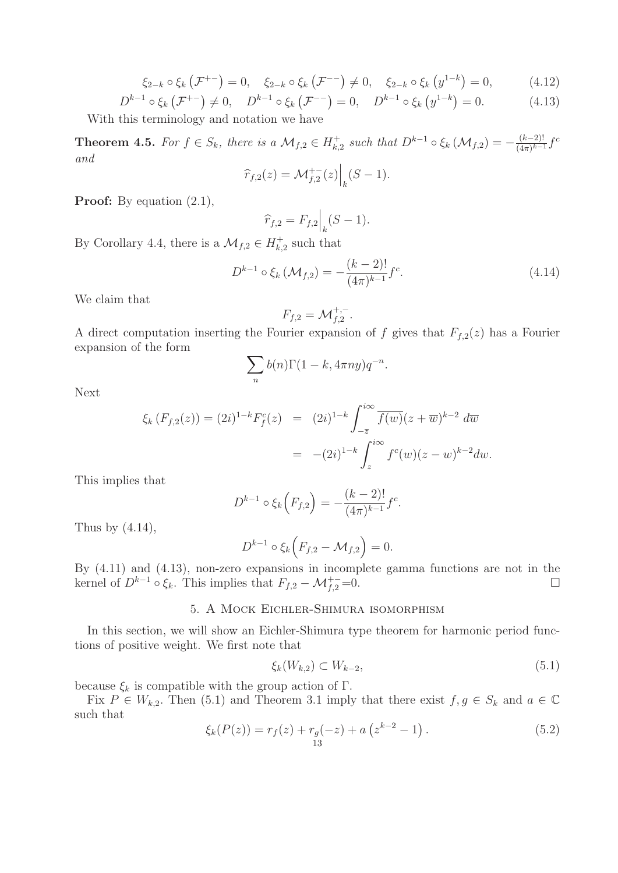$$
\xi_{2-k} \circ \xi_k \left( \mathcal{F}^{+-} \right) = 0, \quad \xi_{2-k} \circ \xi_k \left( \mathcal{F}^{--} \right) \neq 0, \quad \xi_{2-k} \circ \xi_k \left( y^{1-k} \right) = 0, \tag{4.12}
$$

$$
D^{k-1} \circ \xi_k \left( \mathcal{F}^{+-} \right) \neq 0, \quad D^{k-1} \circ \xi_k \left( \mathcal{F}^{--} \right) = 0, \quad D^{k-1} \circ \xi_k \left( y^{1-k} \right) = 0. \tag{4.13}
$$

With this terminology and notation we have

**Theorem 4.5.** For  $f \in S_k$ , there is a  $\mathcal{M}_{f,2} \in H_{k,2}^+$  such that  $D^{k-1} \circ \xi_k(\mathcal{M}_{f,2}) = -\frac{(k-2)!}{(4\pi)^{k-1}} f^c$ and  $\begin{array}{c} \hline \end{array}$ 

$$
\widehat{r}_{f,2}(z) = \mathcal{M}_{f,2}^{+-}(z)\Big|_{k}(S-1).
$$

**Proof:** By equation (2.1),

$$
\widehat{r}_{f,2} = F_{f,2} \Big|_{k} (S - 1).
$$

By Corollary 4.4, there is a  $\mathcal{M}_{f,2} \in H^+_{k,2}$  such that

$$
D^{k-1} \circ \xi_k \left( \mathcal{M}_{f,2} \right) = -\frac{(k-2)!}{(4\pi)^{k-1}} f^c.
$$
 (4.14)

We claim that

$$
F_{f,2}=\mathcal{M}_{f,2}^{+,-}.
$$

A direct computation inserting the Fourier expansion of f gives that  $F_{f,2}(z)$  has a Fourier<br>expansion of the form expansion of the form

$$
\sum_{n} b(n)\Gamma(1-k, 4\pi ny)q^{-n}.
$$

Next

$$
\xi_k(F_{f,2}(z)) = (2i)^{1-k} F_f^c(z) = (2i)^{1-k} \int_{-\overline{z}}^{i\infty} \overline{f(w)} (z + \overline{w})^{k-2} d\overline{w}
$$
  
= -(2i)^{1-k} \int\_{z}^{i\infty} f^c(w) (z - w)^{k-2} dw.

This implies that

$$
D^{k-1} \circ \xi_k \left( F_{f,2} \right) = -\frac{(k-2)!}{(4\pi)^{k-1}} f^c.
$$

Thus by  $(4.14)$ ,

$$
D^{k-1} \circ \xi_k \Big( F_{f,2} - \mathcal{M}_{f,2} \Big) = 0.
$$

By (4.11) and (4.13), non-zero expansions in incomplete gamma functions are not in the kernel of  $D^{k-1} \circ \xi_k$ . This implies that  $F_{f,2} - \mathcal{M}_{f,2}^{+-} = 0$ .  $\Box$ 

# 5. A Mock Eichler-Shimura isomorphism

In this section, we will show an Eichler-Shimura type theorem for harmonic period functions of positive weight. We first note that

$$
\xi_k(W_{k,2}) \subset W_{k-2},\tag{5.1}
$$

because  $\xi_k$  is compatible with the group action of Γ.

Fix  $P \in W_{k,2}$ . Then (5.1) and Theorem 3.1 imply that there exist  $f, g \in S_k$  and  $a \in \mathbb{C}$ such that

$$
\xi_k(P(z)) = r_f(z) + r_g(-z) + a\left(z^{k-2} - 1\right). \tag{5.2}
$$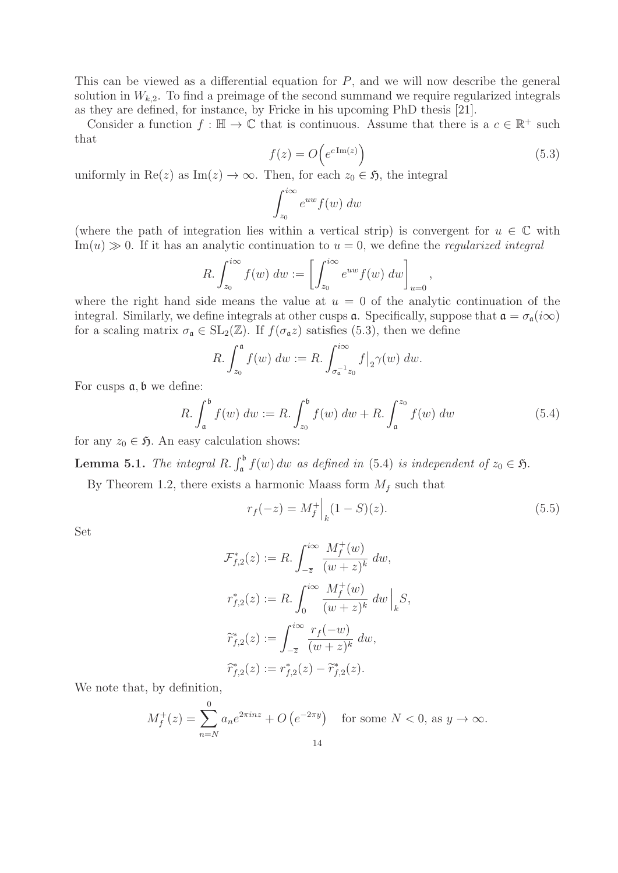This can be viewed as a differential equation for  $P$ , and we will now describe the general solution in  $W_{k,2}$ . To find a preimage of the second summand we require regularized integrals as they are defined, for instance, by Fricke in his upcoming PhD thesis [21].

Consider a function  $f : \mathbb{H} \to \mathbb{C}$  that is continuous. Assume that there is a  $c \in \mathbb{R}^+$  such that

$$
f(z) = O\left(e^{c \operatorname{Im}(z)}\right) \tag{5.3}
$$

,

uniformly in Re(z) as Im(z)  $\rightarrow \infty$ . Then, for each  $z_0 \in \mathfrak{H}$ , the integral

$$
\int_{z_0}^{i\infty} e^{uw} f(w) \ dw
$$

(where the path of integration lies within a vertical strip) is convergent for  $u \in \mathbb{C}$  with  $\text{Im}(u) \gg 0$ . If it has an analytic continuation to  $u = 0$ , we define the *regularized integral* 

$$
R. \int_{z_0}^{i\infty} f(w) \, dw := \left[ \int_{z_0}^{i\infty} e^{uw} f(w) \, dw \right]_{u=0}
$$

where the right hand side means the value at  $u = 0$  of the analytic continuation of the integral. Similarly, we define integrals at other cusps  $\alpha$ . Specifically, suppose that  $\alpha = \sigma_{\alpha}(i\infty)$ for a scaling matrix  $\sigma_{\mathfrak{a}} \in SL_2(\mathbb{Z})$ . If  $f(\sigma_{\mathfrak{a}}z)$  satisfies (5.3), then we define

$$
R. \int_{z_0}^{\mathfrak{a}} f(w) \ dw := R. \int_{\sigma_{\mathfrak{a}}^{-1} z_0}^{i\infty} f|_{2} \gamma(w) \ dw.
$$

For cusps  $a, b$  we define:

$$
R. \int_{a}^{b} f(w) \, dw := R. \int_{z_{0}}^{b} f(w) \, dw + R. \int_{a}^{z_{0}} f(w) \, dw \tag{5.4}
$$

for any  $z_0 \in \mathfrak{H}$ . An easy calculation shows:

**Lemma 5.1.** The integral R.  $\int_a^b f(w) dw$  as defined in (5.4) is independent of  $z_0 \in \mathfrak{H}$ .

By Theorem 1.2, there exists a harmonic Maass form  $M_f$  such that

$$
r_f(-z) = M_f^+ \Big|_k (1 - S)(z). \tag{5.5}
$$

Set

$$
\mathcal{F}_{f,2}^*(z) := R. \int_{-\overline{z}}^{i\infty} \frac{M_f^+(w)}{(w+z)^k} dw,
$$
  

$$
r_{f,2}^*(z) := R. \int_0^{i\infty} \frac{M_f^+(w)}{(w+z)^k} dw \Big|_k S,
$$
  

$$
\widetilde{r}_{f,2}^*(z) := \int_{-\overline{z}}^{i\infty} \frac{r_f(-w)}{(w+z)^k} dw,
$$
  

$$
\widehat{r}_{f,2}^*(z) := r_{f,2}^*(z) - \widetilde{r}_{f,2}^*(z).
$$

We note that, by definition,

$$
M_f^+(z) = \sum_{n=N}^{0} a_n e^{2\pi i n z} + O\left(e^{-2\pi y}\right) \quad \text{for some } N < 0, \text{ as } y \to \infty.
$$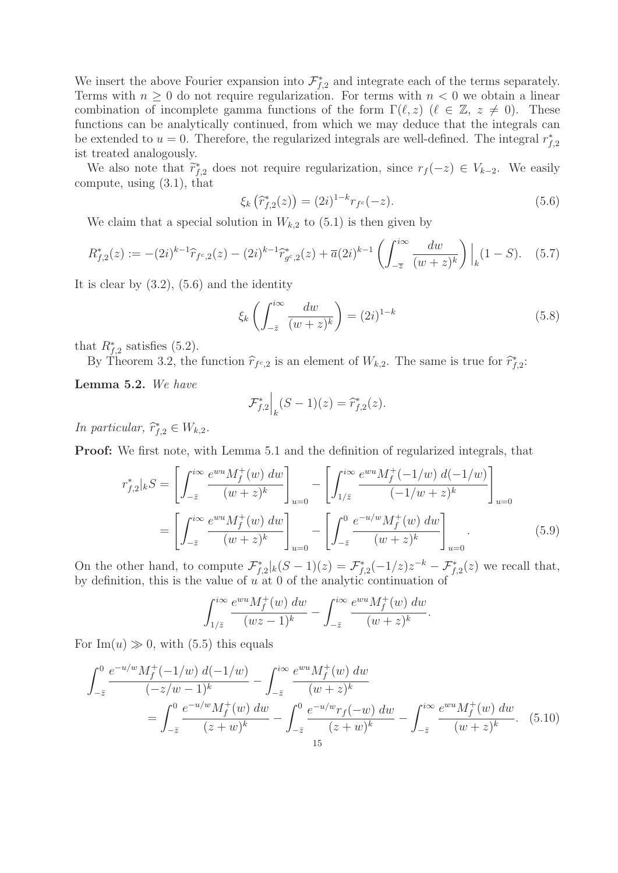We insert the above Fourier expansion into  $\mathcal{F}_{f,2}^*$  and integrate each of the terms separately.<br>Terms with  $n \geq 0$  do not require regularization. For terms with  $n \leq 0$  we obtain a linear Terms with  $n \geq 0$  do not require regularization. For terms with  $n < 0$  we obtain a linear combination of incomplete gamma functions of the form  $\Gamma(\ell, z)$  ( $\ell \in \mathbb{Z}, z \neq 0$ ). These functions can be analytically continued, from which we may deduce that the integrals can be extended to  $u = 0$ . Therefore, the regularized integrals are well-defined. The integral  $r_{f,2}^*$ ist treated analogously.

We also note that  $\tilde{r}_{f,2}^*$  does not require regularization, since  $r_f(-z) \in V_{k-2}$ . We easily compute, using (3.1), that

$$
\xi_k\left(\widehat{r}_{f,2}^*(z)\right) = (2i)^{1-k}r_{f^c}(-z). \tag{5.6}
$$

We claim that a special solution in  $W_{k,2}$  to  $(5.1)$  is then given by

$$
R_{f,2}^*(z) := -(2i)^{k-1} \widehat{r}_{f^c,2}(z) - (2i)^{k-1} \widehat{r}_{g^c,2}^*(z) + \overline{a}(2i)^{k-1} \left( \int_{-\overline{z}}^{i\infty} \frac{dw}{(w+z)^k} \right) \Big|_k (1-S). \tag{5.7}
$$

It is clear by  $(3.2)$ ,  $(5.6)$  and the identity

$$
\xi_k \left( \int_{-\bar{z}}^{i\infty} \frac{dw}{(w+z)^k} \right) = (2i)^{1-k} \tag{5.8}
$$

that  $R_{f,2}^*$  satisfies (5.2).<br>By Theorem 3.2, the

By Theorem 3.2, the function  $\hat{r}_{f^c,2}$  is an element of  $W_{k,2}$ . The same is true for  $\hat{r}_{f,2}^*$ :

**Lemma 5.2.** We have

$$
\mathcal{F}_{f,2}^* \Big|_k (S-1)(z) = \widehat{r}_{f,2}^*(z).
$$

In particular,  $\hat{r}_{f,2}^* \in W_{k,2}$ .

**Proof:** We first note, with Lemma 5.1 and the definition of regularized integrals, that

$$
r_{f,2}^{*}|_{k}S = \left[\int_{-\bar{z}}^{i\infty} \frac{e^{wu}M_f^{+}(w) \, dw}{(w+z)^k} \right]_{u=0} - \left[\int_{1/\bar{z}}^{i\infty} \frac{e^{wu}M_f^{+}(-1/w) \, d(-1/w)}{(-1/w+z)^k} \right]_{u=0}
$$

$$
= \left[\int_{-\bar{z}}^{i\infty} \frac{e^{wu}M_f^{+}(w) \, dw}{(w+z)^k} \right]_{u=0} - \left[\int_{-\bar{z}}^{0} \frac{e^{-u/w}M_f^{+}(w) \, dw}{(w+z)^k} \right]_{u=0} . \tag{5.9}
$$

On the other hand, to compute  $\mathcal{F}_{f,2}^*|_k(S-1)(z) = \mathcal{F}_{f,2}^*(-1/z)z^{-k} - \mathcal{F}_{f,2}^*(z)$  we recall that, by definition, this is the value of u at 0 of the analytic continuation of

$$
\int_{1/\bar{z}}^{i\infty} \frac{e^{wu} M_f^+(w) \, dw}{(wz-1)^k} - \int_{-\bar{z}}^{i\infty} \frac{e^{wu} M_f^+(w) \, dw}{(w+z)^k}.
$$

For  $\text{Im}(u) \gg 0$ , with (5.5) this equals

$$
\int_{-\bar{z}}^{0} \frac{e^{-u/w} M_f^+(-1/w) d(-1/w)}{(-z/w-1)^k} - \int_{-\bar{z}}^{i\infty} \frac{e^{wu} M_f^+(w) dw}{(w+z)^k}
$$
\n
$$
= \int_{-\bar{z}}^{0} \frac{e^{-u/w} M_f^+(w) dw}{(z+w)^k} - \int_{-\bar{z}}^{0} \frac{e^{-u/w} r_f(-w) dw}{(z+w)^k} - \int_{-\bar{z}}^{i\infty} \frac{e^{wu} M_f^+(w) dw}{(w+z)^k} . \quad (5.10)
$$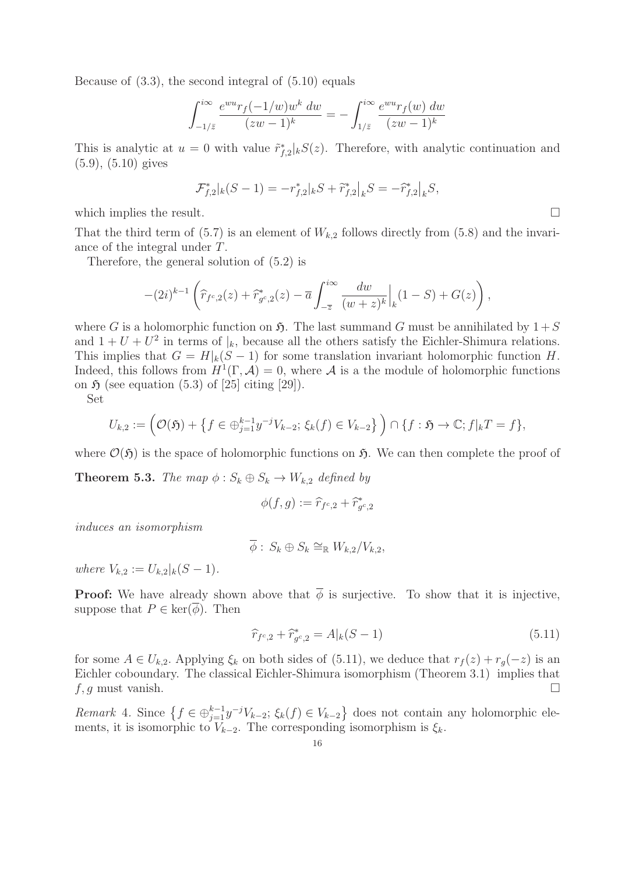Because of (3.3), the second integral of (5.10) equals

$$
\int_{-1/\bar{z}}^{i\infty} \frac{e^{wu} r_f(-1/w) w^k dw}{(zw-1)^k} = -\int_{1/\bar{z}}^{i\infty} \frac{e^{wu} r_f(w) dw}{(zw-1)^k}
$$

This is analytic at  $u = 0$  with value  $\tilde{r}_{f,2}^*|_kS(z)$ . Therefore, with analytic continuation and  $(5.0)$ ,  $(5.10)$  gives (5.9), (5.10) gives

$$
\mathcal{F}_{f,2}^*|_k(S-1) = -r_{f,2}^*|_kS + \widetilde{r}_{f,2}^*|_kS = -\widehat{r}_{f,2}^*|_kS,
$$

which implies the result.  $\Box$ 

That the third term of (5.7) is an element of  $W_{k,2}$  follows directly from (5.8) and the invariance of the integral under T.

Therefore, the general solution of (5.2) is

$$
-(2i)^{k-1}\left(\widehat{r}_{f^c,2}(z)+\widehat{r}_{g^c,2}^*(z)-\overline{a}\int_{-\overline{z}}^{i\infty}\frac{dw}{(w+z)^k}\Big|_{k}(1-S)+G(z)\right),
$$

where G is a holomorphic function on  $\mathfrak{H}$ . The last summand G must be annihilated by  $1+S$ and  $1 + U + U^2$  in terms of  $\vert_k$ , because all the others satisfy the Eichler-Shimura relations. This implies that  $G = H|_k(S-1)$  for some translation invariant holomorphic function H. Indeed, this follows from  $H^1(\Gamma, \mathcal{A}) = 0$ , where  $\mathcal A$  is a the module of holomorphic functions on  $\mathfrak H$  (see equation (5.3) of [25] citing [29]).

Set

$$
U_{k,2} := \left(\mathcal{O}(\mathfrak{H}) + \left\{f \in \bigoplus_{j=1}^{k-1} y^{-j} V_{k-2}; \, \xi_k(f) \in V_{k-2}\right\}\right) \cap \{f : \mathfrak{H} \to \mathbb{C}; f|_{k} T = f\},\
$$

where  $\mathcal{O}(\mathfrak{H})$  is the space of holomorphic functions on  $\mathfrak{H}$ . We can then complete the proof of

**Theorem 5.3.** The map  $\phi : S_k \oplus S_k \rightarrow W_{k,2}$  defined by

$$
\phi(f,g) := \widehat{r}_{f^c,2} + \widehat{r}_{g^c,2}^*
$$

induces an isomorphism

$$
\overline{\phi}: S_k \oplus S_k \cong_{\mathbb{R}} W_{k,2}/V_{k,2},
$$

where  $V_{k,2} := U_{k,2} |_{k} (S - 1)$ .

**Proof:** We have already shown above that  $\overline{\phi}$  is surjective. To show that it is injective, suppose that  $P \in \text{ker}(\phi)$ . Then

$$
\widehat{r}_{f^c,2} + \widehat{r}_{g^c,2}^* = A|_k(S-1)
$$
\n(5.11)

for some  $A \in U_{k,2}$ . Applying  $\xi_k$  on both sides of (5.11), we deduce that  $r_f(z) + r_g(-z)$  is an Eichler coboundary. The classical Eichler-Shimura isomorphism (Theorem 3.1) implies that f, q must vanish.

Remark 4. Since  $\{f \in \bigoplus_{j=1}^{k-1} y^{-j}V_{k-2}; \xi_k(f) \in V_{k-2}\}$  does not contain any holomorphic ele-<br>monts it is isomorphic to  $V_{k-1}$ . The corresponding isomorphism is  $\xi$ . ments, it is isomorphic to  $V_{k-2}$ . The corresponding isomorphism is  $\xi_k$ .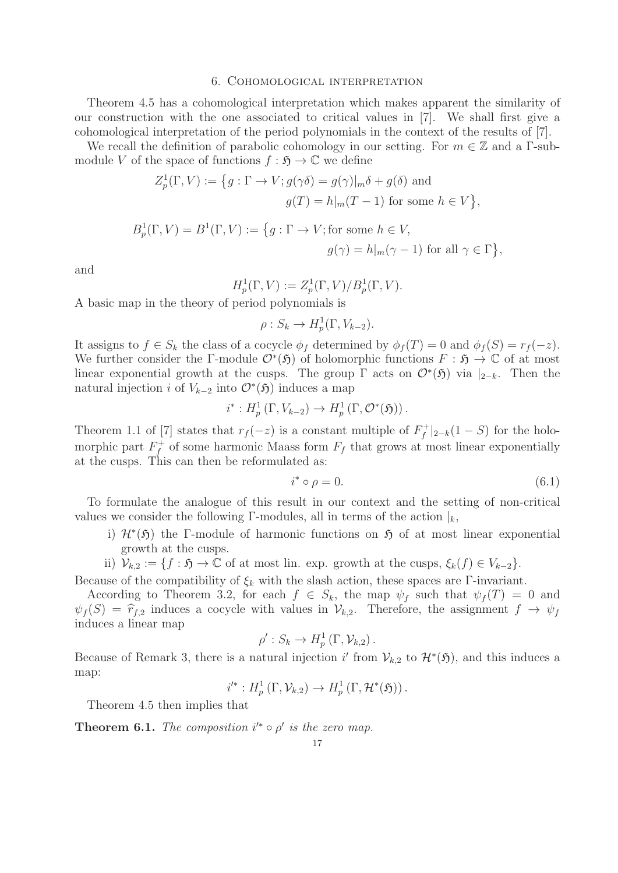#### 6. Cohomological interpretation

Theorem 4.5 has a cohomological interpretation which makes apparent the similarity of our construction with the one associated to critical values in [7]. We shall first give a cohomological interpretation of the period polynomials in the context of the results of [7].

We recall the definition of parabolic cohomology in our setting. For  $m \in \mathbb{Z}$  and a Γ-submodule V of the space of functions  $f : \mathfrak{H} \to \mathbb{C}$  we define

$$
Z_p^1(\Gamma, V) := \left\{ g : \Gamma \to V; g(\gamma \delta) = g(\gamma)|_m \delta + g(\delta) \text{ and}
$$
  

$$
g(T) = h|_m(T - 1) \text{ for some } h \in V \right\},
$$
  

$$
B_p^1(\Gamma, V) = B^1(\Gamma, V) := \left\{ g : \Gamma \to V; \text{for some } h \in V,
$$
  

$$
g(\gamma) = h|_m(\gamma - 1) \text{ for all } \gamma \in \Gamma \right\},
$$

and

$$
H_p^1(\Gamma, V) := Z_p^1(\Gamma, V) / B_p^1(\Gamma, V).
$$

A basic map in the theory of period polynomials is

$$
\rho: S_k \to H^1_p(\Gamma, V_{k-2}).
$$

It assigns to  $f \in S_k$  the class of a cocycle  $\phi_f$  determined by  $\phi_f(T) = 0$  and  $\phi_f(S) = r_f(-z)$ . We further consider the Γ-module  $\mathcal{O}^*(\mathfrak{H})$  of holomorphic functions  $F : \mathfrak{H} \to \mathbb{C}$  of at most linear exponential growth at the cusps. The group  $\Gamma$  acts on  $\mathcal{O}^*(\mathfrak{H})$  via  $|_{2-k}$ . Then the natural injection i of  $V_{k-2}$  into  $\mathcal{O}^*(\mathfrak{H})$  induces a map

$$
i^*: H_p^1(\Gamma, V_{k-2}) \to H_p^1(\Gamma, \mathcal{O}^*(\mathfrak{H})) .
$$

Theorem 1.1 of [7] states that  $r_f(-z)$  is a constant multiple of  $F_f^+|_{2-k}(1-S)$  for the holomorphic part  $F_f^+$  of some harmonic Maass form  $F_f$  that grows at most linear exponentially at the cusps. This can then be reformulated as:

$$
i^* \circ \rho = 0. \tag{6.1}
$$

To formulate the analogue of this result in our context and the setting of non-critical values we consider the following Γ-modules, all in terms of the action  $\vert_k$ ,

- i)  $\mathcal{H}^*(\mathfrak{H})$  the Γ-module of harmonic functions on  $\mathfrak{H}$  of at most linear exponential growth at the cusps.
- ii)  $V_{k,2} := \{f : \mathfrak{H} \to \mathbb{C} \text{ of at most line. } \exp \text{.} \text{ growth at the cusps, } \xi_k(f) \in V_{k-2}\}.$

Because of the compatibility of  $\xi_k$  with the slash action, these spaces are Γ-invariant.

According to Theorem 3.2, for each  $f \in S_k$ , the map  $\psi_f$  such that  $\psi_f(T) = 0$  and  $\psi_f(S) = \hat{r}_{f,2}$  induces a cocycle with values in  $\mathcal{V}_{k,2}$ . Therefore, the assignment  $f \to \psi_f$ induces a linear map

$$
\rho': S_k \to H^1_p(\Gamma, \mathcal{V}_{k,2}).
$$

Because of Remark 3, there is a natural injection i' from  $\mathcal{V}_{k,2}$  to  $\mathcal{H}^*(\mathfrak{H})$ , and this induces a map:

$$
i'^*: H_p^1(\Gamma, \mathcal{V}_{k,2}) \to H_p^1(\Gamma, \mathcal{H}^*(\mathfrak{H}))\,.
$$

Theorem 4.5 then implies that

**Theorem 6.1.** The composition  $i^* \circ \rho'$  is the zero map.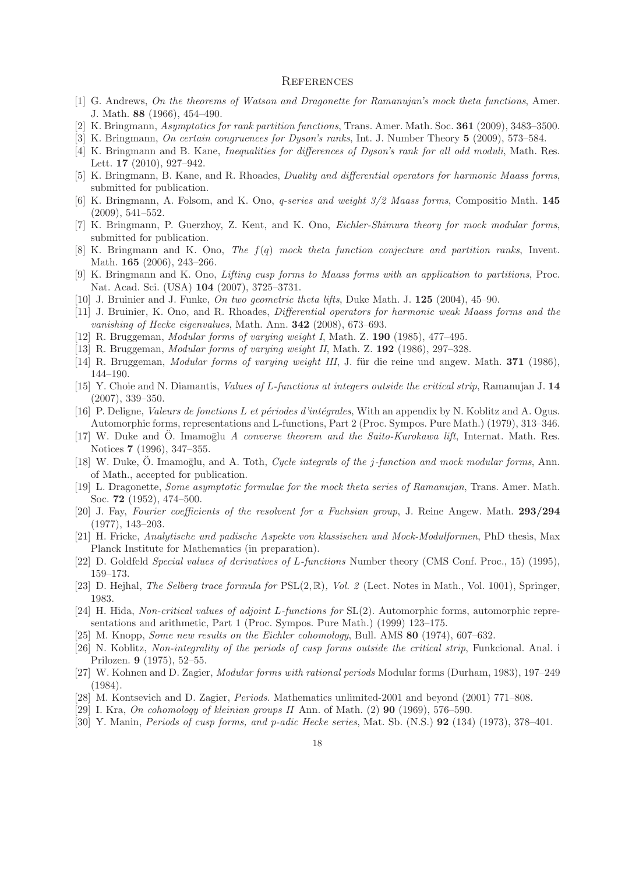#### **REFERENCES**

- [1] G. Andrews, On the theorems of Watson and Dragonette for Ramanujan's mock theta functions, Amer. J. Math. **88** (1966), 454–490.
- [2] K. Bringmann, Asymptotics for rank partition functions, Trans. Amer. Math. Soc. **361** (2009), 3483–3500.
- [3] K. Bringmann, On certain congruences for Dyson's ranks, Int. J. Number Theory **5** (2009), 573–584.
- [4] K. Bringmann and B. Kane, Inequalities for differences of Dyson's rank for all odd moduli, Math. Res. Lett. **17** (2010), 927–942.
- [5] K. Bringmann, B. Kane, and R. Rhoades, Duality and differential operators for harmonic Maass forms, submitted for publication.
- [6] K. Bringmann, A. Folsom, and K. Ono, q-series and weight 3/2 Maass forms, Compositio Math. **145** (2009), 541–552.
- [7] K. Bringmann, P. Guerzhoy, Z. Kent, and K. Ono, Eichler-Shimura theory for mock modular forms, submitted for publication.
- $[8]$  K. Bringmann and K. Ono, The  $f(q)$  mock theta function conjecture and partition ranks, Invent. Math. **165** (2006), 243–266.
- [9] K. Bringmann and K. Ono, Lifting cusp forms to Maass forms with an application to partitions, Proc. Nat. Acad. Sci. (USA) **104** (2007), 3725–3731.
- [10] J. Bruinier and J. Funke, On two geometric theta lifts, Duke Math. J. **125** (2004), 45–90.
- [11] J. Bruinier, K. Ono, and R. Rhoades, Differential operators for harmonic weak Maass forms and the vanishing of Hecke eigenvalues, Math. Ann. **342** (2008), 673–693.
- [12] R. Bruggeman, Modular forms of varying weight I, Math. Z. **190** (1985), 477–495.
- [13] R. Bruggeman, Modular forms of varying weight II, Math. Z. **192** (1986), 297–328.
- [14] R. Bruggeman, Modular forms of varying weight III, J. f¨ur die reine und angew. Math. **371** (1986), 144–190.
- [15] Y. Choie and N. Diamantis, Values of L-functions at integers outside the critical strip, Ramanujan J. **14** (2007), 339–350.
- [16] P. Deligne, Valeurs de fonctions L et périodes d'intégrales, With an appendix by N. Koblitz and A. Ogus. Automorphic forms, representations and L-functions, Part 2 (Proc. Sympos. Pure Math.) (1979), 313–346.
- [17] W. Duke and Ö. Imamoglu A converse theorem and the Saito-Kurokawa lift, Internat. Math. Res. Notices **7** (1996), 347–355.
- [18] W. Duke, O. Imamoglu, and A. Toth, *Cycle integrals of the j-function and mock modular forms*, Ann. of Math., accepted for publication.
- [19] L. Dragonette, Some asymptotic formulae for the mock theta series of Ramanujan, Trans. Amer. Math. Soc. **72** (1952), 474–500.
- [20] J. Fay, Fourier coefficients of the resolvent for a Fuchsian group, J. Reine Angew. Math. **293/294** (1977), 143–203.
- [21] H. Fricke, Analytische und padische Aspekte von klassischen und Mock-Modulformen, PhD thesis, Max Planck Institute for Mathematics (in preparation).
- [22] D. Goldfeld Special values of derivatives of L-functions Number theory (CMS Conf. Proc., 15) (1995), 159–173.
- [23] D. Hejhal, *The Selberg trace formula for*  $PSL(2, \mathbb{R})$ , *Vol. 2* (Lect. Notes in Math., Vol. 1001), Springer, 1983.
- [24] H. Hida, Non-critical values of adjoint L-functions for SL(2). Automorphic forms, automorphic representations and arithmetic, Part 1 (Proc. Sympos. Pure Math.) (1999) 123–175.
- [25] M. Knopp, Some new results on the Eichler cohomology, Bull. AMS **80** (1974), 607–632.
- [26] N. Koblitz, Non-integrality of the periods of cusp forms outside the critical strip, Funkcional. Anal. i Prilozen. **9** (1975), 52–55.
- [27] W. Kohnen and D. Zagier, Modular forms with rational periods Modular forms (Durham, 1983), 197–249 (1984).
- [28] M. Kontsevich and D. Zagier, Periods. Mathematics unlimited-2001 and beyond (2001) 771–808.
- [29] I. Kra, On cohomology of kleinian groups II Ann. of Math. (2) **90** (1969), 576–590.
- [30] Y. Manin, Periods of cusp forms, and p-adic Hecke series, Mat. Sb. (N.S.) **92** (134) (1973), 378–401.